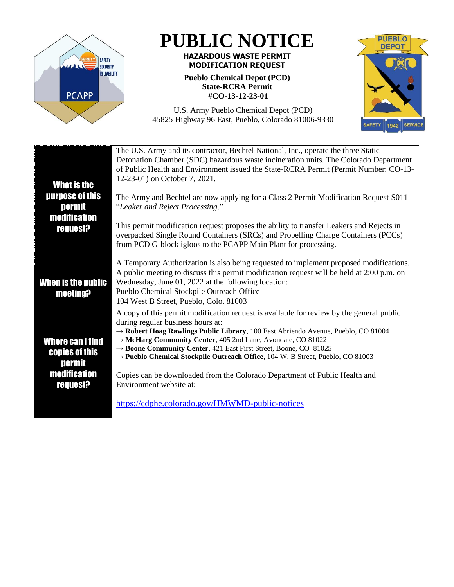

## **PUBLIC NOTICE**

## **HAZARDOUS WASTE PERMIT MODIFICATION REQUEST**

**Pueblo Chemical Depot (PCD) State-RCRA Permit #CO-13-12-23-01**



U.S. Army Pueblo Chemical Depot (PCD) 45825 Highway 96 East, Pueblo, Colorado 81006-9330

| <b>What is the</b><br>purpose of this<br>permit<br><b>modification</b> | The U.S. Army and its contractor, Bechtel National, Inc., operate the three Static<br>Detonation Chamber (SDC) hazardous waste incineration units. The Colorado Department<br>of Public Health and Environment issued the State-RCRA Permit (Permit Number: CO-13-<br>12-23-01) on October 7, 2021.<br>The Army and Bechtel are now applying for a Class 2 Permit Modification Request S011<br>"Leaker and Reject Processing." |
|------------------------------------------------------------------------|--------------------------------------------------------------------------------------------------------------------------------------------------------------------------------------------------------------------------------------------------------------------------------------------------------------------------------------------------------------------------------------------------------------------------------|
| <b>request?</b>                                                        | This permit modification request proposes the ability to transfer Leakers and Rejects in<br>overpacked Single Round Containers (SRCs) and Propelling Charge Containers (PCCs)<br>from PCD G-block igloos to the PCAPP Main Plant for processing.                                                                                                                                                                               |
|                                                                        | A Temporary Authorization is also being requested to implement proposed modifications.<br>A public meeting to discuss this permit modification request will be held at 2:00 p.m. on                                                                                                                                                                                                                                            |
| When is the public                                                     | Wednesday, June 01, 2022 at the following location:                                                                                                                                                                                                                                                                                                                                                                            |
| <b>meeting?</b>                                                        | Pueblo Chemical Stockpile Outreach Office                                                                                                                                                                                                                                                                                                                                                                                      |
|                                                                        | 104 West B Street, Pueblo, Colo. 81003                                                                                                                                                                                                                                                                                                                                                                                         |
|                                                                        | A copy of this permit modification request is available for review by the general public                                                                                                                                                                                                                                                                                                                                       |
|                                                                        | during regular business hours at:<br>-> Robert Hoag Rawlings Public Library, 100 East Abriendo Avenue, Pueblo, CO 81004                                                                                                                                                                                                                                                                                                        |
| <b>Where can I find</b>                                                | → McHarg Community Center, 405 2nd Lane, Avondale, CO 81022                                                                                                                                                                                                                                                                                                                                                                    |
| <b>copies of this</b>                                                  | $\rightarrow$ Boone Community Center, 421 East First Street, Boone, CO 81025                                                                                                                                                                                                                                                                                                                                                   |
| <b>permit</b>                                                          | → Pueblo Chemical Stockpile Outreach Office, 104 W. B Street, Pueblo, CO 81003                                                                                                                                                                                                                                                                                                                                                 |
| <b>modification</b><br><b>request?</b>                                 | Copies can be downloaded from the Colorado Department of Public Health and<br>Environment website at:                                                                                                                                                                                                                                                                                                                          |
|                                                                        | https://cdphe.colorado.gov/HMWMD-public-notices                                                                                                                                                                                                                                                                                                                                                                                |
|                                                                        |                                                                                                                                                                                                                                                                                                                                                                                                                                |